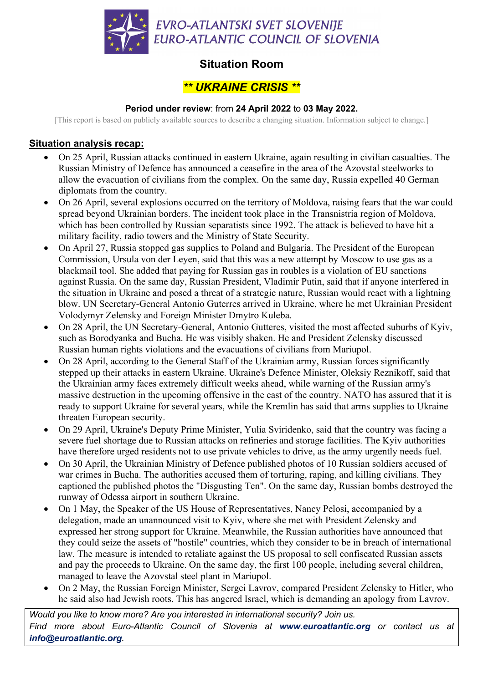

## **Situation Room**

# *\*\* UKRAINE CRISIS \*\**

#### **Period under review**: from **24 April 2022** to **03 May 2022.**

[This report is based on publicly available sources to describe a changing situation. Information subject to change.]

#### **Situation analysis recap:**

- On 25 April, Russian attacks continued in eastern Ukraine, again resulting in civilian casualties. The Russian Ministry of Defence has announced a ceasefire in the area of the Azovstal steelworks to allow the evacuation of civilians from the complex. On the same day, Russia expelled 40 German diplomats from the country.
- On 26 April, several explosions occurred on the territory of Moldova, raising fears that the war could spread beyond Ukrainian borders. The incident took place in the Transnistria region of Moldova, which has been controlled by Russian separatists since 1992. The attack is believed to have hit a military facility, radio towers and the Ministry of State Security.
- On April 27, Russia stopped gas supplies to Poland and Bulgaria. The President of the European Commission, Ursula von der Leyen, said that this was a new attempt by Moscow to use gas as a blackmail tool. She added that paying for Russian gas in roubles is a violation of EU sanctions against Russia. On the same day, Russian President, Vladimir Putin, said that if anyone interfered in the situation in Ukraine and posed a threat of a strategic nature, Russian would react with a lightning blow. UN Secretary-General Antonio Guterres arrived in Ukraine, where he met Ukrainian President Volodymyr Zelensky and Foreign Minister Dmytro Kuleba.
- On 28 April, the UN Secretary-General, Antonio Gutteres, visited the most affected suburbs of Kyiv, such as Borodyanka and Bucha. He was visibly shaken. He and President Zelensky discussed Russian human rights violations and the evacuations of civilians from Mariupol.
- On 28 April, according to the General Staff of the Ukrainian army, Russian forces significantly stepped up their attacks in eastern Ukraine. Ukraine's Defence Minister, Oleksiy Reznikoff, said that the Ukrainian army faces extremely difficult weeks ahead, while warning of the Russian army's massive destruction in the upcoming offensive in the east of the country. NATO has assured that it is ready to support Ukraine for several years, while the Kremlin has said that arms supplies to Ukraine threaten European security.
- On 29 April, Ukraine's Deputy Prime Minister, Yulia Sviridenko, said that the country was facing a severe fuel shortage due to Russian attacks on refineries and storage facilities. The Kyiv authorities have therefore urged residents not to use private vehicles to drive, as the army urgently needs fuel.
- On 30 April, the Ukrainian Ministry of Defence published photos of 10 Russian soldiers accused of war crimes in Bucha. The authorities accused them of torturing, raping, and killing civilians. They captioned the published photos the "Disgusting Ten". On the same day, Russian bombs destroyed the runway of Odessa airport in southern Ukraine.
- On 1 May, the Speaker of the US House of Representatives, Nancy Pelosi, accompanied by a delegation, made an unannounced visit to Kyiv, where she met with President Zelensky and expressed her strong support for Ukraine. Meanwhile, the Russian authorities have announced that they could seize the assets of "hostile" countries, which they consider to be in breach of international law. The measure is intended to retaliate against the US proposal to sell confiscated Russian assets and pay the proceeds to Ukraine. On the same day, the first 100 people, including several children, managed to leave the Azovstal steel plant in Mariupol.
- On 2 May, the Russian Foreign Minister, Sergei Lavrov, compared President Zelensky to Hitler, who he said also had Jewish roots. This has angered Israel, which is demanding an apology from Lavrov.

*Would you like to know more? Are you interested in international security? Join us. Find more about Euro-Atlantic Council of Slovenia at www.euroatlantic.org or contact us at info@euroatlantic.org.*